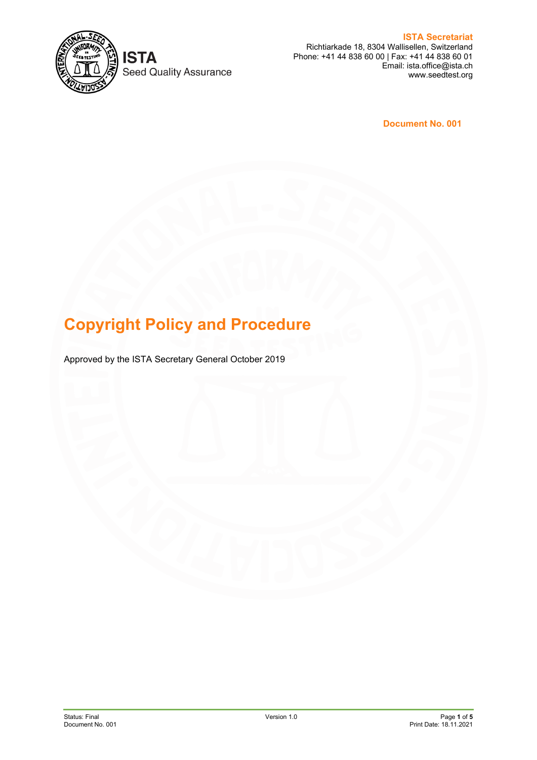

**ISTA Seed Quality Assurance** 

**ISTA Secretariat** Richtiarkade 18, 8304 Wallisellen, Switzerland Phone: +41 44 838 60 00 | Fax: +41 44 838 60 01 Email: ista.office@ista.ch www.seedtest.org

**Document No. 001**

# **Copyright Policy and Procedure**

Approved by the ISTA Secretary General October 2019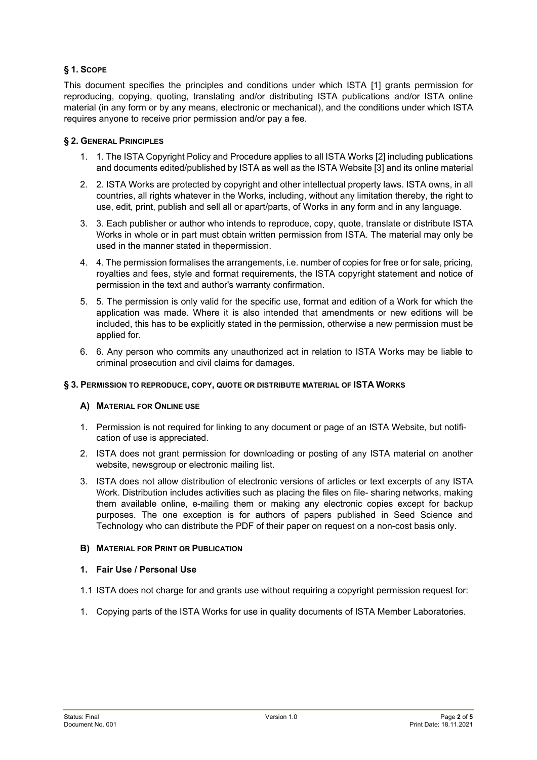# **§ 1. SCOPE**

This document specifies the principles and conditions under which ISTA [1] grants permission for reproducing, copying, quoting, translating and/or distributing ISTA publications and/or ISTA online material (in any form or by any means, electronic or mechanical), and the conditions under which ISTA requires anyone to receive prior permission and/or pay a fee.

# **§ 2. GENERAL PRINCIPLES**

- 1. 1. The ISTA Copyright Policy and Procedure applies to all ISTA Works [2] including publications and documents edited/published by ISTA as well as the ISTA Website [3] and its online material
- 2. 2. ISTA Works are protected by copyright and other intellectual property laws. ISTA owns, in all countries, all rights whatever in the Works, including, without any limitation thereby, the right to use, edit, print, publish and sell all or apart/parts, of Works in any form and in any language.
- 3. 3. Each publisher or author who intends to reproduce, copy, quote, translate or distribute ISTA Works in whole or in part must obtain written permission from ISTA. The material may only be used in the manner stated in thepermission.
- 4. 4. The permission formalises the arrangements, i.e. number of copies for free or for sale, pricing, royalties and fees, style and format requirements, the ISTA copyright statement and notice of permission in the text and author's warranty confirmation.
- 5. 5. The permission is only valid for the specific use, format and edition of a Work for which the application was made. Where it is also intended that amendments or new editions will be included, this has to be explicitly stated in the permission, otherwise a new permission must be applied for.
- 6. 6. Any person who commits any unauthorized act in relation to ISTA Works may be liable to criminal prosecution and civil claims for damages.

#### **§ 3. PERMISSION TO REPRODUCE, COPY, QUOTE OR DISTRIBUTE MATERIAL OF ISTA WORKS**

#### **A) MATERIAL FOR ONLINE USE**

- 1. Permission is not required for linking to any document or page of an ISTA Website, but notification of use is appreciated.
- 2. ISTA does not grant permission for downloading or posting of any ISTA material on another website, newsgroup or electronic mailing list.
- 3. ISTA does not allow distribution of electronic versions of articles or text excerpts of any ISTA Work. Distribution includes activities such as placing the files on file- sharing networks, making them available online, e-mailing them or making any electronic copies except for backup purposes. The one exception is for authors of papers published in Seed Science and Technology who can distribute the PDF of their paper on request on a non-cost basis only.

#### **B) MATERIAL FOR PRINT OR PUBLICATION**

### **1. Fair Use / Personal Use**

- 1.1 ISTA does not charge for and grants use without requiring a copyright permission request for:
- 1. Copying parts of the ISTA Works for use in quality documents of ISTA Member Laboratories.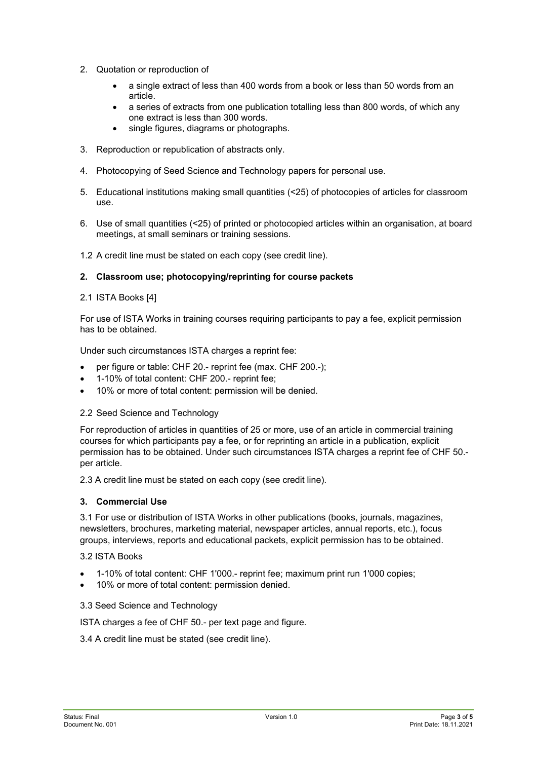- 2. Quotation or reproduction of
	- a single extract of less than 400 words from a book or less than 50 words from an article.
	- a series of extracts from one publication totalling less than 800 words, of which any one extract is less than 300 words.
	- single figures, diagrams or photographs.
- 3. Reproduction or republication of abstracts only.
- 4. Photocopying of Seed Science and Technology papers for personal use.
- 5. Educational institutions making small quantities (<25) of photocopies of articles for classroom use.
- 6. Use of small quantities (<25) of printed or photocopied articles within an organisation, at board meetings, at small seminars or training sessions.

1.2 A credit line must be stated on each copy (see credit line).

#### **2. Classroom use; photocopying/reprinting for course packets**

2.1 ISTA Books [4]

For use of ISTA Works in training courses requiring participants to pay a fee, explicit permission has to be obtained.

Under such circumstances ISTA charges a reprint fee:

- per figure or table: CHF 20.- reprint fee (max. CHF 200.-);
- 1-10% of total content: CHF 200.- reprint fee;
- 10% or more of total content: permission will be denied.

#### 2.2 Seed Science and Technology

For reproduction of articles in quantities of 25 or more, use of an article in commercial training courses for which participants pay a fee, or for reprinting an article in a publication, explicit permission has to be obtained. Under such circumstances ISTA charges a reprint fee of CHF 50. per article.

2.3 A credit line must be stated on each copy (see credit line).

#### **3. Commercial Use**

3.1 For use or distribution of ISTA Works in other publications (books, journals, magazines, newsletters, brochures, marketing material, newspaper articles, annual reports, etc.), focus groups, interviews, reports and educational packets, explicit permission has to be obtained.

#### 3.2 ISTA Books

- 1-10% of total content: CHF 1'000.- reprint fee; maximum print run 1'000 copies;
- 10% or more of total content: permission denied.

#### 3.3 Seed Science and Technology

ISTA charges a fee of CHF 50.- per text page and figure.

#### 3.4 A credit line must be stated (see credit line).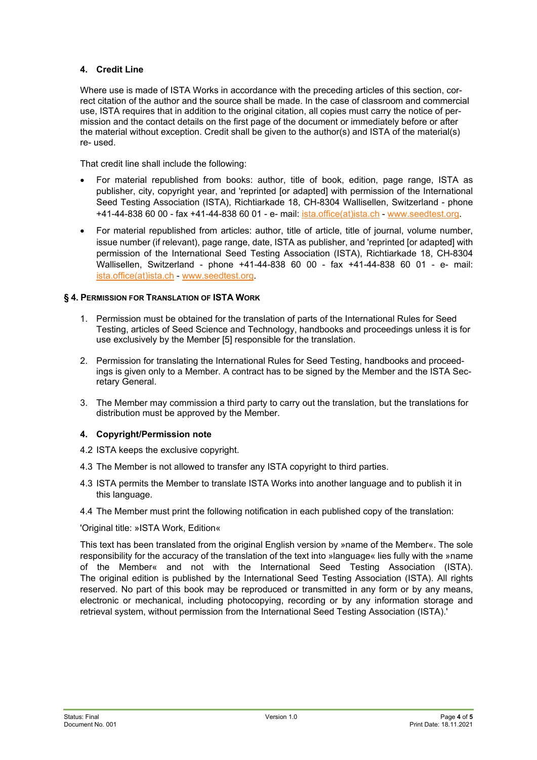# **4. Credit Line**

Where use is made of ISTA Works in accordance with the preceding articles of this section, correct citation of the author and the source shall be made. In the case of classroom and commercial use, ISTA requires that in addition to the original citation, all copies must carry the notice of permission and the contact details on the first page of the document or immediately before or after the material without exception. Credit shall be given to the author(s) and ISTA of the material(s) re- used.

That credit line shall include the following:

- For material republished from books: author, title of book, edition, page range, ISTA as publisher, city, copyright year, and 'reprinted [or adapted] with permission of the International Seed Testing Association (ISTA), Richtiarkade 18, CH-8304 Wallisellen, Switzerland - phone +41-44-838 60 00 - fax +41-44-838 60 01 - e- mail: [ista.office\(at\)ista.ch](mailto:ista.office@ista.ch) - [www.seedtest.org.](https://www.seedtest.org/en/home.html)
- For material republished from articles: author, title of article, title of journal, volume number, issue number (if relevant), page range, date, ISTA as publisher, and 'reprinted [or adapted] with permission of the International Seed Testing Association (ISTA), Richtiarkade 18, CH-8304 Wallisellen, Switzerland - phone +41-44-838 60 00 - fax +41-44-838 60 01 - e- mail: [ista.office\(at\)ista.ch](mailto:ista.office@ista.ch) - [www.seedtest.org.](https://www.seedtest.org/en/home.html)

#### **§ 4. PERMISSION FOR TRANSLATION OF ISTA WORK**

- 1. Permission must be obtained for the translation of parts of the International Rules for Seed Testing, articles of Seed Science and Technology, handbooks and proceedings unless it is for use exclusively by the Member [5] responsible for the translation.
- 2. Permission for translating the International Rules for Seed Testing, handbooks and proceedings is given only to a Member. A contract has to be signed by the Member and the ISTA Secretary General.
- 3. The Member may commission a third party to carry out the translation, but the translations for distribution must be approved by the Member.

#### **4. Copyright/Permission note**

- 4.2 ISTA keeps the exclusive copyright.
- 4.3 The Member is not allowed to transfer any ISTA copyright to third parties.
- 4.3 ISTA permits the Member to translate ISTA Works into another language and to publish it in this language.
- 4.4 The Member must print the following notification in each published copy of the translation:

#### 'Original title: »ISTA Work, Edition«

This text has been translated from the original English version by »name of the Member«. The sole responsibility for the accuracy of the translation of the text into »language« lies fully with the »name of the Member« and not with the International Seed Testing Association (ISTA). The original edition is published by the International Seed Testing Association (ISTA). All rights reserved. No part of this book may be reproduced or transmitted in any form or by any means, electronic or mechanical, including photocopying, recording or by any information storage and retrieval system, without permission from the International Seed Testing Association (ISTA).'